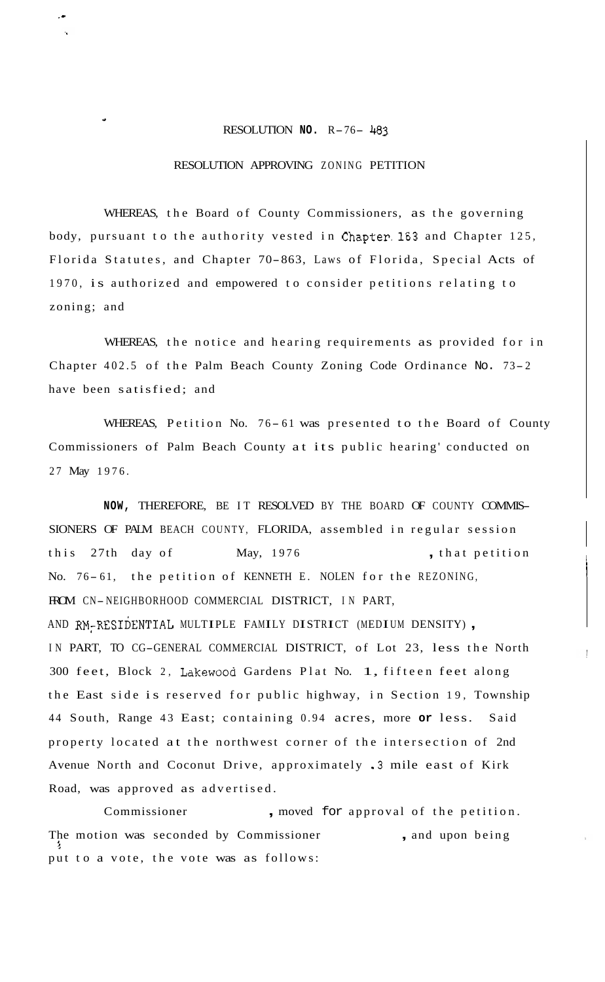## RESOLUTION **NO.** R-76- <sup>483</sup>

.-

"

## RESOLUTION APPROVING ZONING PETITION

WHEREAS, the Board of County Commissioners, as the governing body, pursuant to the authority vested in Chapter,163 and Chapter 125, Florida Statutes, and Chapter 70-863, Laws of Florida, Special Acts of 1970, is authorized and empowered to consider petitions relating to zoning; and

WHEREAS, the notice and hearing requirements as provided for in Chapter 402.5 of the Palm Beach County Zoning Code Ordinance No. 73- <sup>2</sup> have been satisfied; and

WHEREAS, Petition No. 76-61 was presented to the Board of County Commissioners of Palm Beach County at its public hearing' conducted on 27 May 1976.

**NOW,** THEREFORE, BE IT RESOLVED BY THE BOARD OF COUNTY COMMIS-SIONERS OF PALM BEACH COUNTY, FLORIDA, assembled in regular session this 27th day of May, 1976 , that petition No. 76-61, the petition of KENNETH E. NOLEN for the REZONING, FROM CN- NEIGHBORHOOD COMMERCIAL DISTRICT, IN PART, AND RM~RESIDENTIAL MULTIPLE FAMILY DISTRICT (MEDIUM DENSITY) , IN PART, TO CG-GENERAL COMMERCIAL DISTRICT, of Lot 23, less the North 300 feet, Block 2, Lakewood Gardens Plat No. 1, fifteen feet along the East side is reserved for public highway, in Section 19, Township 44 South, Range 43 East; containing 0.94 acres, more **or** less. Said property located at the northwest corner of the intersection of 2nd Avenue North and Coconut Drive, approximately ,3 mile east of Kirk Road, was approved as advertised.

Commissioner , moved for approval of the petition. The motion was seconded by Commissioner, , and upon being put to a vote, the vote was as follows: *r!*